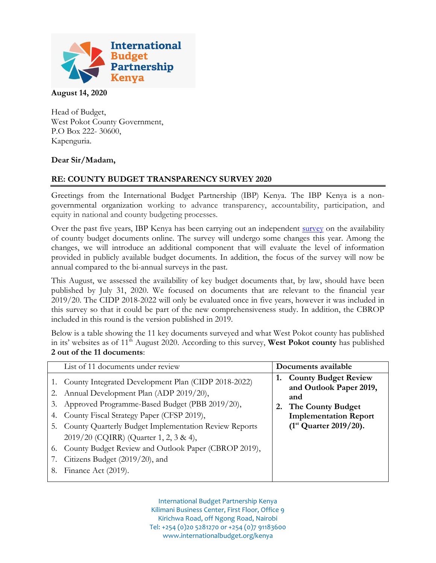

## **August 14, 2020**

Head of Budget, West Pokot County Government, P.O Box 222- 30600, Kapenguria.

## **Dear Sir/Madam,**

## **RE: COUNTY BUDGET TRANSPARENCY SURVEY 2020**

Greetings from the International Budget Partnership (IBP) Kenya. The IBP Kenya is a nongovernmental organization working to advance transparency, accountability, participation, and equity in national and county budgeting processes.

Over the past five years, IBP Kenya has been carrying out an independent [survey](http://www.internationalbudget.org/budget-work-by-country/ibps-work-in-countries/kenya/understanding-county-budgets/tracking-county-budget-information-kenya/) on the availability of county budget documents online. The survey will undergo some changes this year. Among the changes, we will introduce an additional component that will evaluate the level of information provided in publicly available budget documents. In addition, the focus of the survey will now be annual compared to the bi-annual surveys in the past.

This August, we assessed the availability of key budget documents that, by law, should have been published by July 31, 2020. We focused on documents that are relevant to the financial year 2019/20. The CIDP 2018-2022 will only be evaluated once in five years, however it was included in this survey so that it could be part of the new comprehensiveness study. In addition, the CBROP included in this round is the version published in 2019.

Below is a table showing the 11 key documents surveyed and what West Pokot county has published in its' websites as of 11<sup>th</sup> August 2020. According to this survey, **West Pokot county** has published **2 out of the 11 documents**:

|                | List of 11 documents under review                                                                                                                                                                                   |          | Documents available                                                                                                |
|----------------|---------------------------------------------------------------------------------------------------------------------------------------------------------------------------------------------------------------------|----------|--------------------------------------------------------------------------------------------------------------------|
| 3.<br>4.       | 1. County Integrated Development Plan (CIDP 2018-2022)<br>2. Annual Development Plan (ADP 2019/20),<br>Approved Programme-Based Budget (PBB 2019/20),<br>County Fiscal Strategy Paper (CFSP 2019),                  | 1.<br>2. | <b>County Budget Review</b><br>and Outlook Paper 2019,<br>and<br>The County Budget<br><b>Implementation Report</b> |
| 6.<br>7.<br>8. | 5. County Quarterly Budget Implementation Review Reports<br>2019/20 (CQIRR) (Quarter 1, 2, 3 & 4),<br>County Budget Review and Outlook Paper (CBROP 2019),<br>Citizens Budget (2019/20), and<br>Finance Act (2019). |          | $(1st$ Quarter 2019/20).                                                                                           |

International Budget Partnership Kenya Kilimani Business Center, First Floor, Office 9 Kirichwa Road, off Ngong Road, Nairobi Tel: +254 (0)20 5281270 or +254 (0)7 91183600 www.internationalbudget.org/kenya